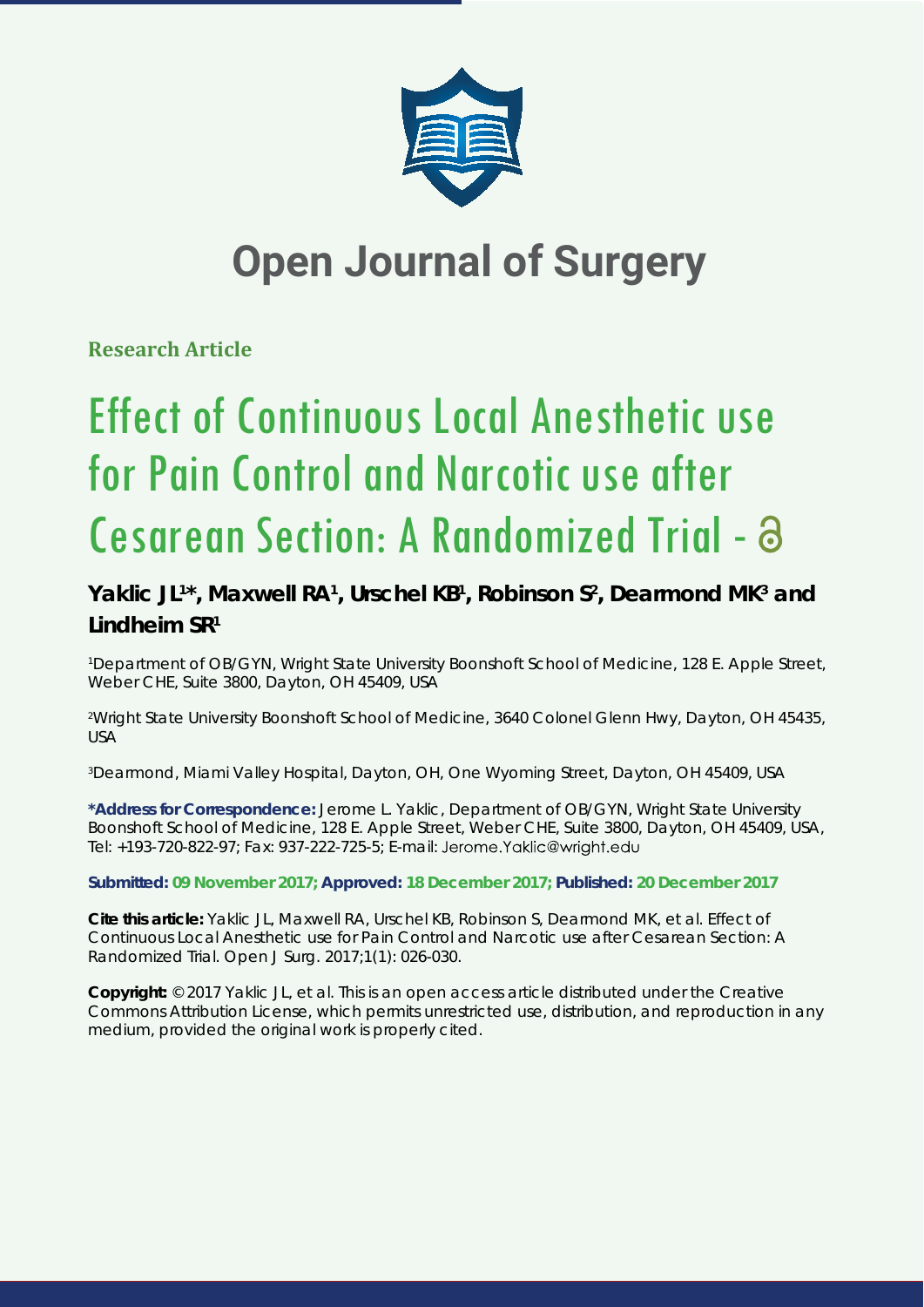

## **Open Journal of Surgery**

**Research Article**

# Effect of Continuous Local Anesthetic use for Pain Control and Narcotic use after Cesarean Section: A Randomized Trial -

### Yaklic JL<sup>1\*</sup>, Maxwell RA<sup>1</sup>, Urschel KB<sup>1</sup>, Robinson S<sup>2</sup>, Dearmond MK<sup>3</sup> and **Lindheim SR1**

1 Department of OB/GYN, Wright State University Boonshoft School of Medicine, 128 E. Apple Street, Weber CHE, Suite 3800, Dayton, OH 45409, USA

2 Wright State University Boonshoft School of Medicine, 3640 Colonel Glenn Hwy, Dayton, OH 45435, USA

3 Dearmond, Miami Valley Hospital, Dayton, OH, One Wyoming Street, Dayton, OH 45409, USA

**\*Address for Correspondence:** Jerome L. Yaklic, Department of OB/GYN, Wright State University Boonshoft School of Medicine, 128 E. Apple Street, Weber CHE, Suite 3800, Dayton, OH 45409, USA, Tel: +193-720-822-97; Fax: 937-222-725-5; E-mail:

**Submitted: 09 November 2017; Approved: 18 December 2017; Published: 20 December 2017**

**Cite this article:** Yaklic JL, Maxwell RA, Urschel KB, Robinson S, Dearmond MK, et al. Effect of Continuous Local Anesthetic use for Pain Control and Narcotic use after Cesarean Section: A Randomized Trial. Open J Surg. 2017;1(1): 026-030.

**Copyright:** © 2017 Yaklic JL, et al. This is an open access article distributed under the Creative Commons Attribution License, which permits unrestricted use, distribution, and reproduction in any medium, provided the original work is properly cited.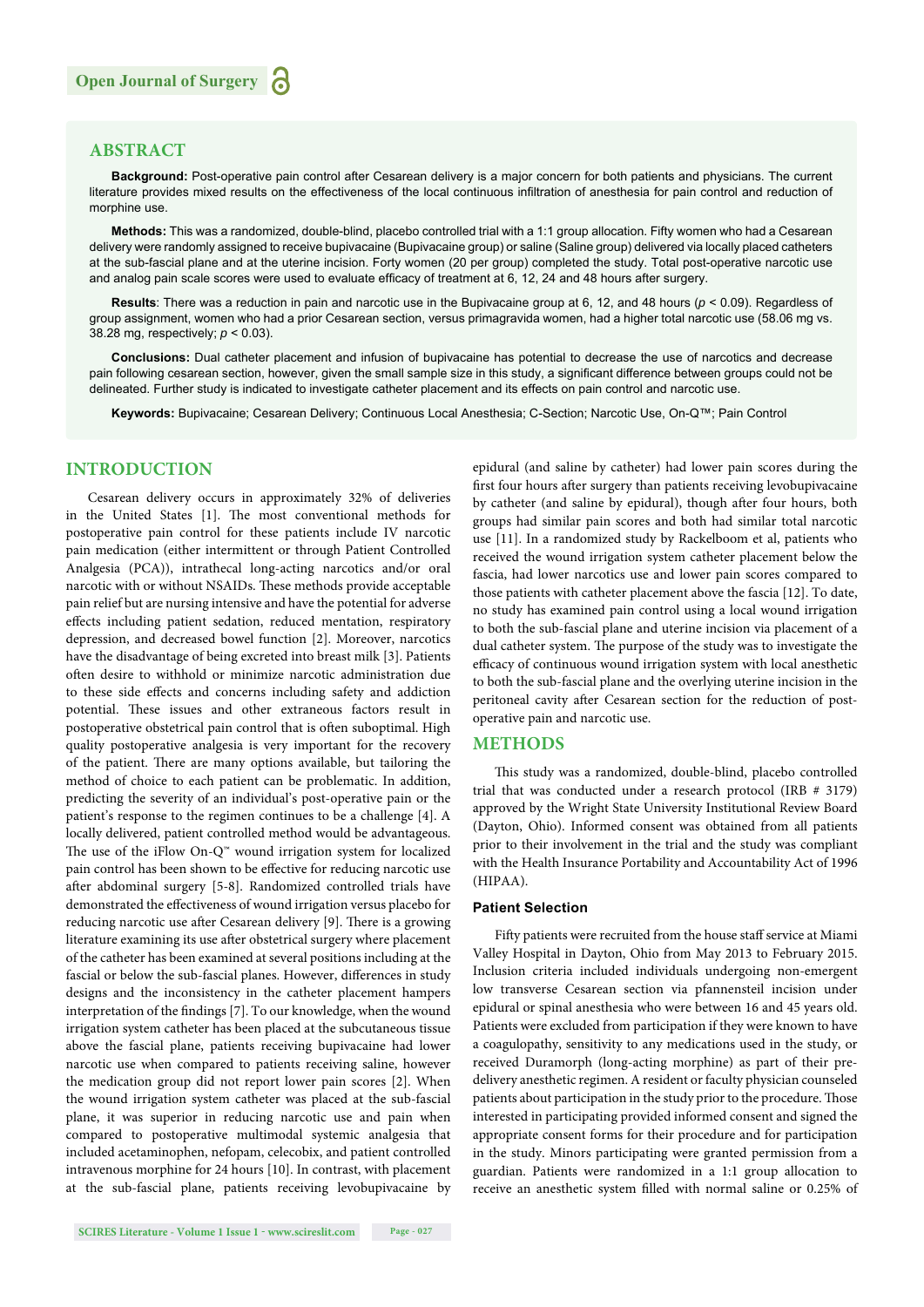#### **ABSTRACT**

**Background:** Post-operative pain control after Cesarean delivery is a major concern for both patients and physicians. The current literature provides mixed results on the effectiveness of the local continuous infiltration of anesthesia for pain control and reduction of morphine use.

**Methods:** This was a randomized, double-blind, placebo controlled trial with a 1:1 group allocation. Fifty women who had a Cesarean delivery were randomly assigned to receive bupivacaine (Bupivacaine group) or saline (Saline group) delivered via locally placed catheters at the sub-fascial plane and at the uterine incision. Forty women (20 per group) completed the study. Total post-operative narcotic use and analog pain scale scores were used to evaluate efficacy of treatment at 6, 12, 24 and 48 hours after surgery.

**Results**: There was a reduction in pain and narcotic use in the Bupivacaine group at 6, 12, and 48 hours (*p* < 0.09). Regardless of group assignment, women who had a prior Cesarean section, versus primagravida women, had a higher total narcotic use (58.06 mg vs. 38.28 mg, respectively; *p* < 0.03).

**Conclusions:** Dual catheter placement and infusion of bupivacaine has potential to decrease the use of narcotics and decrease pain following cesarean section, however, given the small sample size in this study, a significant difference between groups could not be delineated. Further study is indicated to investigate catheter placement and its effects on pain control and narcotic use.

**Keywords:** Bupivacaine; Cesarean Delivery; Continuous Local Anesthesia; C-Section; Narcotic Use, On-Q™; Pain Control

#### **INTRODUCTION**

Cesarean delivery occurs in approximately 32% of deliveries in the United States [1]. The most conventional methods for postoperative pain control for these patients include IV narcotic pain medication (either intermittent or through Patient Controlled Analgesia (PCA)), intrathecal long-acting narcotics and/or oral narcotic with or without NSAIDs. These methods provide acceptable pain relief but are nursing intensive and have the potential for adverse effects including patient sedation, reduced mentation, respiratory depression, and decreased bowel function [2]. Moreover, narcotics have the disadvantage of being excreted into breast milk [3]. Patients often desire to withhold or minimize narcotic administration due to these side effects and concerns including safety and addiction potential. These issues and other extraneous factors result in postoperative obstetrical pain control that is often suboptimal. High quality postoperative analgesia is very important for the recovery of the patient. There are many options available, but tailoring the method of choice to each patient can be problematic. In addition, predicting the severity of an individual's post-operative pain or the patient's response to the regimen continues to be a challenge [4]. A locally delivered, patient controlled method would be advantageous. The use of the iFlow On- $Q^{\omega}$  wound irrigation system for localized pain control has been shown to be effective for reducing narcotic use after abdominal surgery [5-8]. Randomized controlled trials have demonstrated the effectiveness of wound irrigation versus placebo for reducing narcotic use after Cesarean delivery [9]. There is a growing literature examining its use after obstetrical surgery where placement of the catheter has been examined at several positions including at the fascial or below the sub-fascial planes. However, differences in study designs and the inconsistency in the catheter placement hampers interpretation of the findings [7]. To our knowledge, when the wound irrigation system catheter has been placed at the subcutaneous tissue above the fascial plane, patients receiving bupivacaine had lower narcotic use when compared to patients receiving saline, however the medication group did not report lower pain scores [2]. When the wound irrigation system catheter was placed at the sub-fascial plane, it was superior in reducing narcotic use and pain when compared to postoperative multimodal systemic analgesia that included acetaminophen, nefopam, celecobix, and patient controlled intravenous morphine for 24 hours [10]. In contrast, with placement at the sub-fascial plane, patients receiving levobupivacaine by epidural (and saline by catheter) had lower pain scores during the first four hours after surgery than patients receiving levobupivacaine by catheter (and saline by epidural), though after four hours, both groups had similar pain scores and both had similar total narcotic use [11]. In a randomized study by Rackelboom et al, patients who received the wound irrigation system catheter placement below the fascia, had lower narcotics use and lower pain scores compared to those patients with catheter placement above the fascia [12]. To date, no study has examined pain control using a local wound irrigation to both the sub-fascial plane and uterine incision via placement of a dual catheter system. The purpose of the study was to investigate the efficacy of continuous wound irrigation system with local anesthetic to both the sub-fascial plane and the overlying uterine incision in the peritoneal cavity after Cesarean section for the reduction of postoperative pain and narcotic use.

#### **METHODS**

This study was a randomized, double-blind, placebo controlled trial that was conducted under a research protocol (IRB # 3179) approved by the Wright State University Institutional Review Board (Dayton, Ohio). Informed consent was obtained from all patients prior to their involvement in the trial and the study was compliant with the Health Insurance Portability and Accountability Act of 1996 (HIPAA).

#### **Patient Selection**

Fifty patients were recruited from the house staff service at Miami Valley Hospital in Dayton, Ohio from May 2013 to February 2015. Inclusion criteria included individuals undergoing non-emergent low transverse Cesarean section via pfannensteil incision under epidural or spinal anesthesia who were between 16 and 45 years old. Patients were excluded from participation if they were known to have a coagulopathy, sensitivity to any medications used in the study, or received Duramorph (long-acting morphine) as part of their predelivery anesthetic regimen. A resident or faculty physician counseled patients about participation in the study prior to the procedure. Those interested in participating provided informed consent and signed the appropriate consent forms for their procedure and for participation in the study. Minors participating were granted permission from a guardian. Patients were randomized in a 1:1 group allocation to receive an anesthetic system filled with normal saline or 0.25% of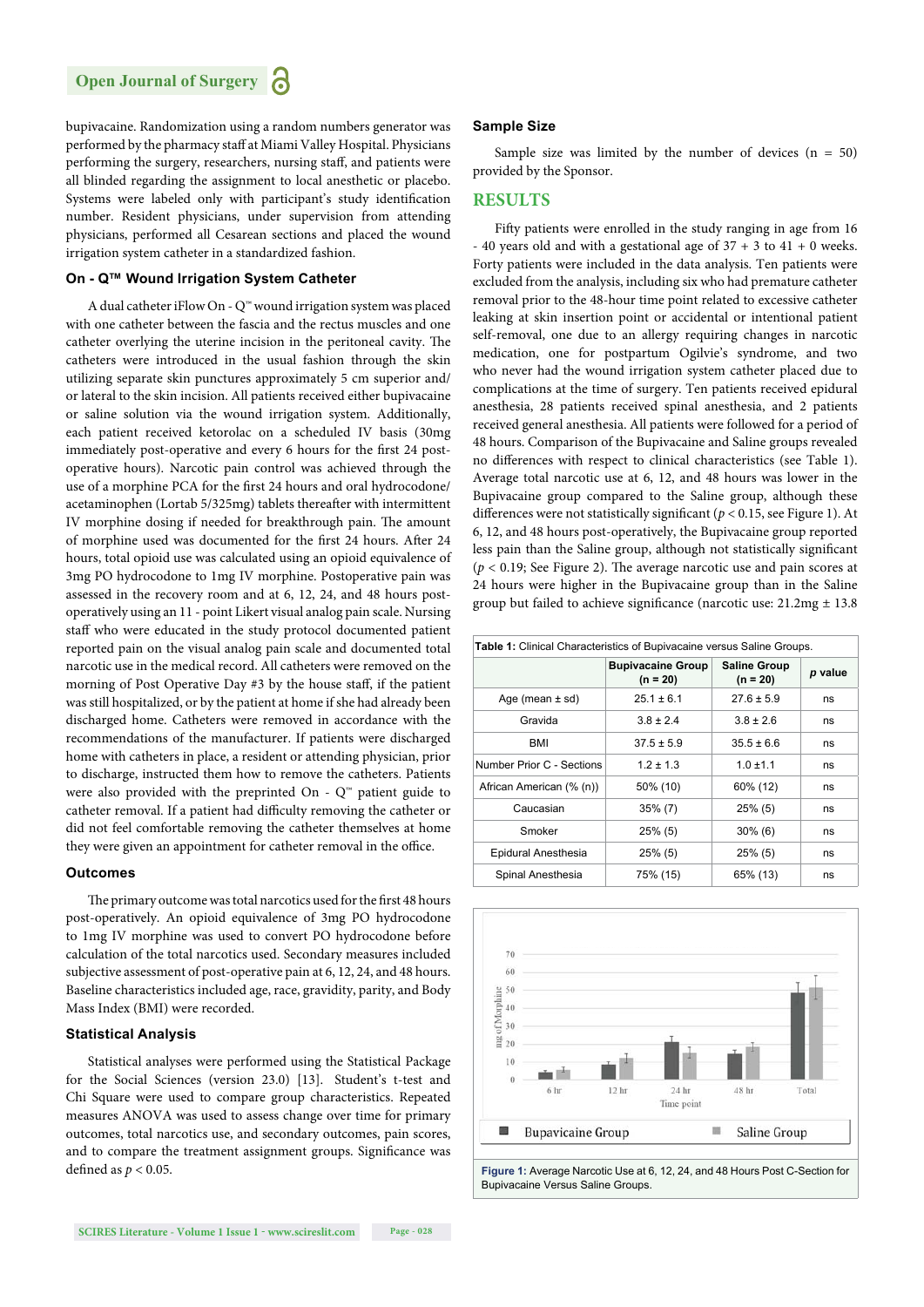bupivacaine. Randomization using a random numbers generator was performed by the pharmacy staff at Miami Valley Hospital. Physicians performing the surgery, researchers, nursing staff, and patients were all blinded regarding the assignment to local anesthetic or placebo. Systems were labeled only with participant's study identification number. Resident physicians, under supervision from attending physicians, performed all Cesarean sections and placed the wound irrigation system catheter in a standardized fashion.

#### **On - Q™ Wound Irrigation System Catheter**

A dual catheter iFlow On - Q™ wound irrigation system was placed with one catheter between the fascia and the rectus muscles and one catheter overlying the uterine incision in the peritoneal cavity. The catheters were introduced in the usual fashion through the skin utilizing separate skin punctures approximately 5 cm superior and/ or lateral to the skin incision. All patients received either bupivacaine or saline solution via the wound irrigation system. Additionally, each patient received ketorolac on a scheduled IV basis (30mg immediately post-operative and every 6 hours for the first 24 postoperative hours). Narcotic pain control was achieved through the use of a morphine PCA for the first 24 hours and oral hydrocodone/ acetaminophen (Lortab 5/325mg) tablets thereafter with intermittent IV morphine dosing if needed for breakthrough pain. The amount of morphine used was documented for the first 24 hours. After 24 hours, total opioid use was calculated using an opioid equivalence of 3mg PO hydrocodone to 1mg IV morphine. Postoperative pain was assessed in the recovery room and at 6, 12, 24, and 48 hours postoperatively using an 11 - point Likert visual analog pain scale. Nursing staff who were educated in the study protocol documented patient reported pain on the visual analog pain scale and documented total narcotic use in the medical record. All catheters were removed on the morning of Post Operative Day #3 by the house staff, if the patient was still hospitalized, or by the patient at home if she had already been discharged home. Catheters were removed in accordance with the recommendations of the manufacturer. If patients were discharged home with catheters in place, a resident or attending physician, prior to discharge, instructed them how to remove the catheters. Patients were also provided with the preprinted On -  $Q^{\omega}$  patient guide to catheter removal. If a patient had difficulty removing the catheter or did not feel comfortable removing the catheter themselves at home they were given an appointment for catheter removal in the office.

#### **Outcomes**

The primary outcome was total narcotics used for the first 48 hours post-operatively. An opioid equivalence of 3mg PO hydrocodone to 1mg IV morphine was used to convert PO hydrocodone before calculation of the total narcotics used. Secondary measures included subjective assessment of post-operative pain at 6, 12, 24, and 48 hours. Baseline characteristics included age, race, gravidity, parity, and Body Mass Index (BMI) were recorded.

#### **Statistical Analysis**

Statistical analyses were performed using the Statistical Package for the Social Sciences (version 23.0) [13]. Student's t-test and Chi Square were used to compare group characteristics. Repeated measures ANOVA was used to assess change over time for primary outcomes, total narcotics use, and secondary outcomes, pain scores, and to compare the treatment assignment groups. Significance was defined as  $p < 0.05$ .

#### **Sample Size**

Sample size was limited by the number of devices  $(n = 50)$ provided by the Sponsor.

#### **RESULTS**

Fifty patients were enrolled in the study ranging in age from 16 - 40 years old and with a gestational age of  $37 + 3$  to  $41 + 0$  weeks. Forty patients were included in the data analysis. Ten patients were excluded from the analysis, including six who had premature catheter removal prior to the 48-hour time point related to excessive catheter leaking at skin insertion point or accidental or intentional patient self-removal, one due to an allergy requiring changes in narcotic medication, one for postpartum Ogilvie's syndrome, and two who never had the wound irrigation system catheter placed due to complications at the time of surgery. Ten patients received epidural anesthesia, 28 patients received spinal anesthesia, and 2 patients received general anesthesia. All patients were followed for a period of 48 hours. Comparison of the Bupivacaine and Saline groups revealed no differences with respect to clinical characteristics (see Table 1). Average total narcotic use at 6, 12, and 48 hours was lower in the Bupivacaine group compared to the Saline group, although these differences were not statistically significant ( $p < 0.15$ , see Figure 1). At 6, 12, and 48 hours post-operatively, the Bupivacaine group reported less pain than the Saline group, although not statistically significant ( $p < 0.19$ ; See Figure 2). The average narcotic use and pain scores at 24 hours were higher in the Bupivacaine group than in the Saline group but failed to achieve significance (narcotic use:  $21.2mg \pm 13.8$ 

| <b>Table 1:</b> Clinical Characteristics of Bupivacaine versus Saline Groups. |                                        |                                   |         |  |
|-------------------------------------------------------------------------------|----------------------------------------|-----------------------------------|---------|--|
|                                                                               | <b>Bupivacaine Group</b><br>$(n = 20)$ | <b>Saline Group</b><br>$(n = 20)$ | p value |  |
| Age (mean $\pm$ sd)                                                           | $25.1 \pm 6.1$                         | $27.6 \pm 5.9$                    | ns      |  |
| Gravida                                                                       | $3.8 \pm 2.4$                          | $3.8 \pm 2.6$                     | ns      |  |
| BMI                                                                           | $37.5 \pm 5.9$                         | $35.5 \pm 6.6$                    | ns      |  |
| Number Prior C - Sections                                                     | $1.2 \pm 1.3$                          | $1.0 \pm 1.1$                     | ns      |  |
| African American (% (n))                                                      | 50% (10)                               | 60% (12)                          | ns      |  |
| Caucasian                                                                     | $35\%$ (7)                             | $25\%$ (5)                        | ns      |  |
| Smoker                                                                        | $25\%$ (5)                             | $30\%$ (6)                        | ns      |  |
| Epidural Anesthesia                                                           | $25\%$ (5)                             | $25\%$ (5)                        | ns      |  |
| Spinal Anesthesia                                                             | 75% (15)                               | 65% (13)                          | ns      |  |

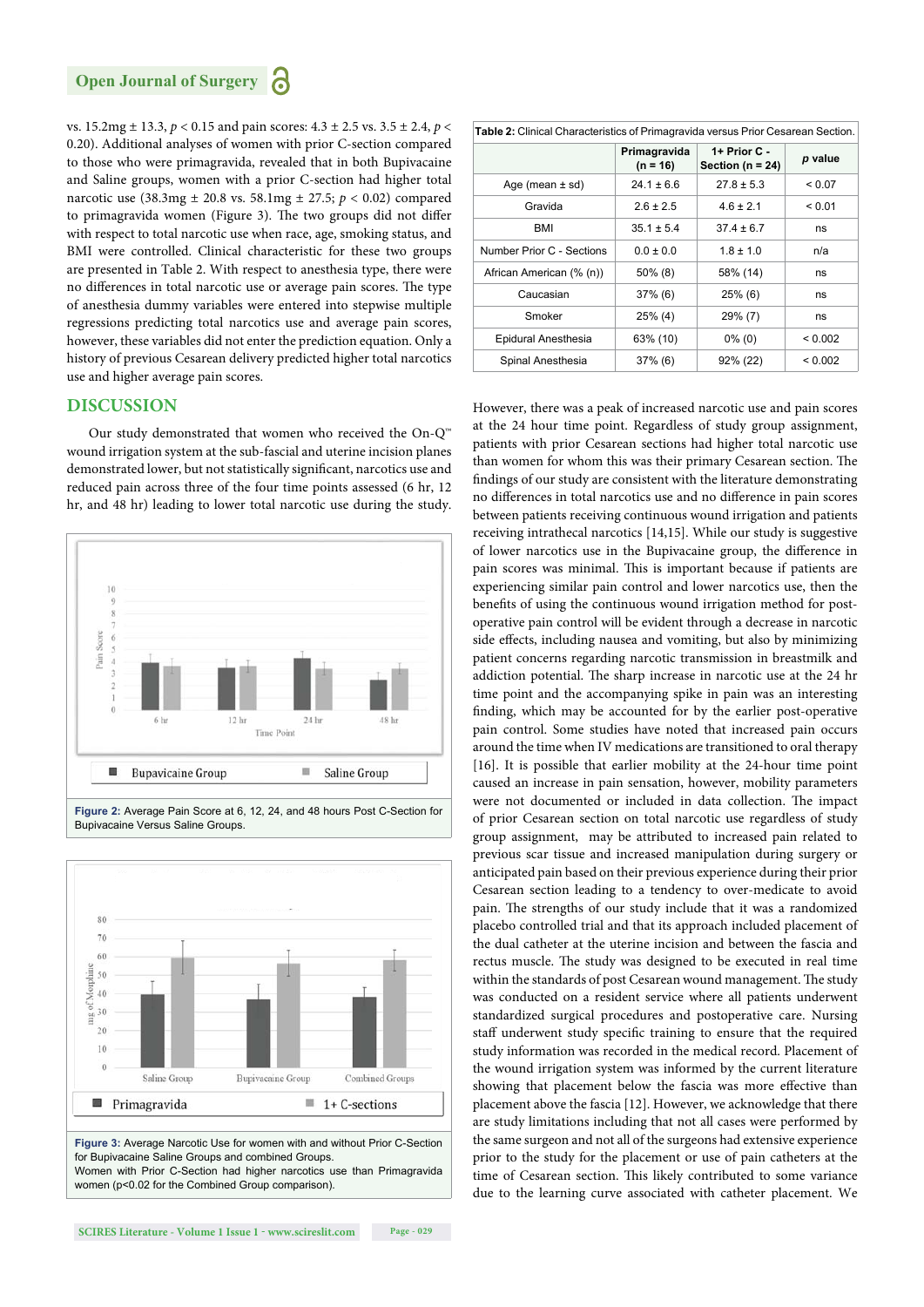vs. 15.2mg ± 13.3, *p* < 0.15 and pain scores: 4.3 ± 2.5 vs. 3.5 ± 2.4, *p* < 0.20). Additional analyses of women with prior C-section compared to those who were primagravida, revealed that in both Bupivacaine and Saline groups, women with a prior C-section had higher total narcotic use (38.3mg ± 20.8 vs. 58.1mg ± 27.5; *p* < 0.02) compared to primagravida women (Figure 3). The two groups did not differ with respect to total narcotic use when race, age, smoking status, and BMI were controlled. Clinical characteristic for these two groups are presented in Table 2. With respect to anesthesia type, there were no differences in total narcotic use or average pain scores. The type of anesthesia dummy variables were entered into stepwise multiple regressions predicting total narcotics use and average pain scores, however, these variables did not enter the prediction equation. Only a history of previous Cesarean delivery predicted higher total narcotics use and higher average pain scores.

#### **DISCUSSION**

Our study demonstrated that women who received the On-Q™ wound irrigation system at the sub-fascial and uterine incision planes demonstrated lower, but not statistically significant, narcotics use and reduced pain across three of the four time points assessed (6 hr, 12 hr, and 48 hr) leading to lower total narcotic use during the study.





Women with Prior C-Section had higher narcotics use than Primagravida women (p<0.02 for the Combined Group comparison).

| Table 2: Clinical Characteristics of Primagravida versus Prior Cesarean Section. |                            |                                      |             |  |
|----------------------------------------------------------------------------------|----------------------------|--------------------------------------|-------------|--|
|                                                                                  | Primagravida<br>$(n = 16)$ | 1+ Prior C -<br>Section ( $n = 24$ ) | p value     |  |
| Age (mean $\pm$ sd)                                                              | $24.1 \pm 6.6$             | $27.8 \pm 5.3$                       | ${}_{0.07}$ |  |
| Gravida                                                                          | $2.6 \pm 2.5$              | $4.6 \pm 2.1$                        | < 0.01      |  |
| BMI                                                                              | $35.1 \pm 5.4$             | $37.4 \pm 6.7$                       | ns          |  |
| Number Prior C - Sections                                                        | $0.0 \pm 0.0$              | $1.8 \pm 1.0$                        | n/a         |  |
| African American (% (n))                                                         | $50\%$ (8)                 | 58% (14)                             | ns          |  |
| Caucasian                                                                        | $37\%$ (6)                 | $25\%$ (6)                           | ns          |  |
| Smoker                                                                           | $25\%$ (4)                 | 29% (7)                              | ns          |  |
| Epidural Anesthesia                                                              | 63% (10)                   | $0\%$ (0)                            | < 0.002     |  |
| Spinal Anesthesia                                                                | $37\%$ (6)                 | 92% (22)                             | < 0.002     |  |

However, there was a peak of increased narcotic use and pain scores at the 24 hour time point. Regardless of study group assignment, patients with prior Cesarean sections had higher total narcotic use than women for whom this was their primary Cesarean section. The findings of our study are consistent with the literature demonstrating no differences in total narcotics use and no difference in pain scores between patients receiving continuous wound irrigation and patients receiving intrathecal narcotics [14,15]. While our study is suggestive of lower narcotics use in the Bupivacaine group, the difference in pain scores was minimal. This is important because if patients are experiencing similar pain control and lower narcotics use, then the benefits of using the continuous wound irrigation method for postoperative pain control will be evident through a decrease in narcotic side effects, including nausea and vomiting, but also by minimizing patient concerns regarding narcotic transmission in breastmilk and addiction potential. The sharp increase in narcotic use at the 24 hr time point and the accompanying spike in pain was an interesting finding, which may be accounted for by the earlier post-operative pain control. Some studies have noted that increased pain occurs around the time when IV medications are transitioned to oral therapy [16]. It is possible that earlier mobility at the 24-hour time point caused an increase in pain sensation, however, mobility parameters were not documented or included in data collection. The impact of prior Cesarean section on total narcotic use regardless of study group assignment, may be attributed to increased pain related to previous scar tissue and increased manipulation during surgery or anticipated pain based on their previous experience during their prior Cesarean section leading to a tendency to over-medicate to avoid pain. The strengths of our study include that it was a randomized placebo controlled trial and that its approach included placement of the dual catheter at the uterine incision and between the fascia and rectus muscle. The study was designed to be executed in real time within the standards of post Cesarean wound management. The study was conducted on a resident service where all patients underwent standardized surgical procedures and postoperative care. Nursing staff underwent study specific training to ensure that the required study information was recorded in the medical record. Placement of the wound irrigation system was informed by the current literature showing that placement below the fascia was more effective than placement above the fascia [12]. However, we acknowledge that there are study limitations including that not all cases were performed by the same surgeon and not all of the surgeons had extensive experience prior to the study for the placement or use of pain catheters at the time of Cesarean section. This likely contributed to some variance due to the learning curve associated with catheter placement. We